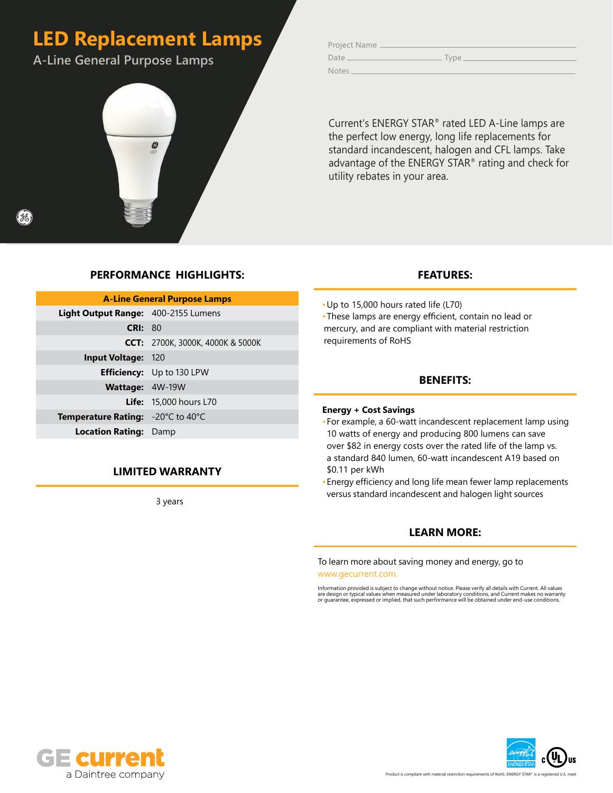# **LED Replacement Lamps**

**A-Line General Purpose Lamps**



Project Name Date Type Notes<sub>-</sub>

Current's ENERGY STAR® rated LED A-Line lamps are the perfect low energy, long life replacements for standard incandescent, halogen and CFL lamps. Take advantage of the ENERGY STAR® rating and check for utility rebates in your area.

# **PERFORMANCE HIGHLIGHTS:**

| <b>A-Line General Purpose Lamps</b>      |                                         |  |  |  |  |  |  |  |  |  |
|------------------------------------------|-----------------------------------------|--|--|--|--|--|--|--|--|--|
| Light Output Range: 400-2155 Lumens      |                                         |  |  |  |  |  |  |  |  |  |
| <b>CRI: 80</b>                           |                                         |  |  |  |  |  |  |  |  |  |
|                                          | <b>CCT:</b> 2700K, 3000K, 4000K & 5000K |  |  |  |  |  |  |  |  |  |
| <b>Input Voltage: 120</b>                |                                         |  |  |  |  |  |  |  |  |  |
|                                          | <b>Efficiency:</b> Up to 130 LPW        |  |  |  |  |  |  |  |  |  |
| <b>Wattage: 4W-19W</b>                   |                                         |  |  |  |  |  |  |  |  |  |
|                                          | <b>Life:</b> 15,000 hours L70           |  |  |  |  |  |  |  |  |  |
| <b>Temperature Rating:</b> -20°C to 40°C |                                         |  |  |  |  |  |  |  |  |  |
| <b>Location Rating: Damp</b>             |                                         |  |  |  |  |  |  |  |  |  |

## **LIMITED WARRANTY**

3 years

### **FEATURES:**

•Up to 15,000 hours rated life (L70) •These lamps are energy efficient, contain no lead or mercury, and are compliant with material restriction requirements of RoHS

### **BENEFITS:**

### **Energy + Cost Savings**

- •For example, a 60-watt incandescent replacement lamp using 10 watts of energy and producing 800 lumens can save over \$82 in energy costs over the rated life of the lamp vs. a standard 840 lumen, 60-watt incandescent A19 based on \$0.11 per kWh
- •Energy efficiency and long life mean fewer lamp replacements versus standard incandescent and halogen light sources

## **LEARN MORE:**

To learn more about saving money and energy, go to www.gecurrent.com.

Information provided is subject to change without notice. Please verify all details with Current. All values<br>are design or typical values when measured under laboratory conditions, and Current makes no warranty<br>or guarante